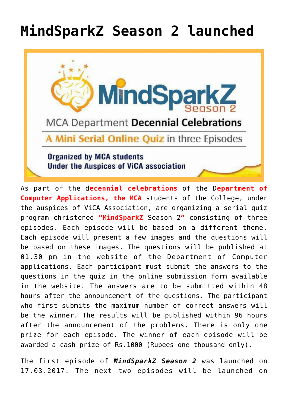## **[MindSparkZ Season 2 launched](https://news.vidyaacademy.ac.in/2017/03/17/mindsparkz-season-2-launched/)**



As part of the d**ecennial celebrations** of the D**epartment of Computer Applications, the MCA** students of the College, under the auspices of ViCA Association, are organizing a serial quiz program christened **"MindSparkZ** Season 2**"** consisting of three episodes. Each episode will be based on a different theme. Each episode will present a few images and the questions will be based on these images. The questions will be published at 01.30 pm in the website of the Department of Computer applications. Each participant must submit the answers to the questions in the quiz in the online submission form available in the website. The answers are to be submitted within 48 hours after the announcement of the questions. The participant who first submits the maximum number of correct answers will be the winner. The results will be published within 96 hours after the announcement of the problems. There is only one prize for each episode. The winner of each episode will be awarded a cash prize of Rs.1000 (Rupees one thousand only).

The first episode of *MindSparkZ Season 2* was launched on 17.03.2017. The next two episodes will be launched on